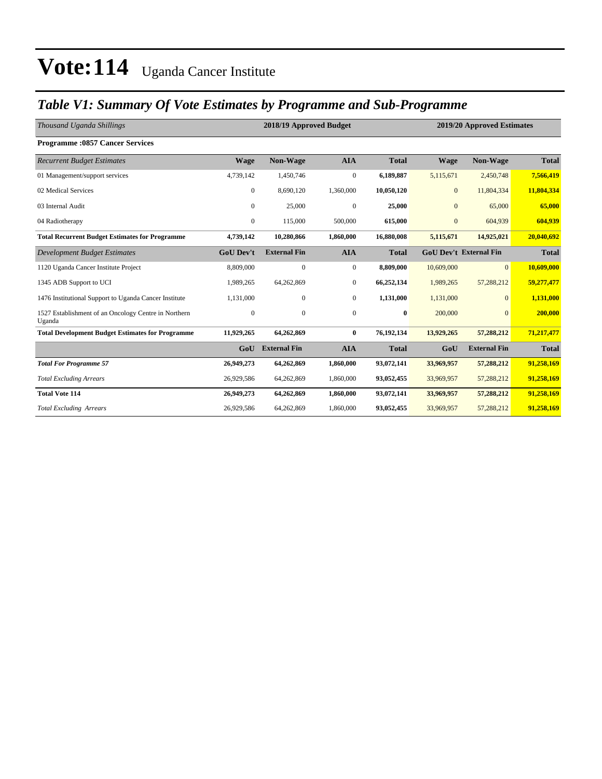## *Table V1: Summary Of Vote Estimates by Programme and Sub-Programme*

| Thousand Uganda Shillings                                      |                  | 2018/19 Approved Budget |                  | 2019/20 Approved Estimates |                |                               |              |
|----------------------------------------------------------------|------------------|-------------------------|------------------|----------------------------|----------------|-------------------------------|--------------|
| <b>Programme:0857 Cancer Services</b>                          |                  |                         |                  |                            |                |                               |              |
| <b>Recurrent Budget Estimates</b>                              | <b>Wage</b>      | Non-Wage                | <b>AIA</b>       | <b>Total</b>               | <b>Wage</b>    | <b>Non-Wage</b>               | <b>Total</b> |
| 01 Management/support services                                 | 4,739,142        | 1,450,746               | $\boldsymbol{0}$ | 6,189,887                  | 5,115,671      | 2,450,748                     | 7,566,419    |
| 02 Medical Services                                            | $\mathbf{0}$     | 8,690,120               | 1,360,000        | 10,050,120                 | $\mathbf{0}$   | 11,804,334                    | 11,804,334   |
| 03 Internal Audit                                              | $\mathbf{0}$     | 25,000                  | $\boldsymbol{0}$ | 25,000                     | $\overline{0}$ | 65,000                        | 65,000       |
| 04 Radiotherapy                                                | $\mathbf{0}$     | 115,000                 | 500,000          | 615,000                    | $\mathbf{0}$   | 604,939                       | 604,939      |
| <b>Total Recurrent Budget Estimates for Programme</b>          | 4,739,142        | 10,280,866              | 1,860,000        | 16,880,008                 | 5,115,671      | 14,925,021                    | 20,040,692   |
| Development Budget Estimates                                   | <b>GoU Dev't</b> | <b>External Fin</b>     | <b>AIA</b>       | <b>Total</b>               |                | <b>GoU Dev't External Fin</b> | <b>Total</b> |
| 1120 Uganda Cancer Institute Project                           | 8,809,000        | $\mathbf{0}$            | $\boldsymbol{0}$ | 8,809,000                  | 10,609,000     | $\mathbf{0}$                  | 10,609,000   |
| 1345 ADB Support to UCI                                        | 1,989,265        | 64,262,869              | $\boldsymbol{0}$ | 66,252,134                 | 1,989,265      | 57,288,212                    | 59,277,477   |
| 1476 Institutional Support to Uganda Cancer Institute          | 1,131,000        | $\mathbf{0}$            | $\overline{0}$   | 1,131,000                  | 1,131,000      | $\Omega$                      | 1,131,000    |
| 1527 Establishment of an Oncology Centre in Northern<br>Uganda | $\theta$         | $\mathbf{0}$            | $\mathbf{0}$     | $\bf{0}$                   | 200,000        | $\Omega$                      | 200,000      |
| <b>Total Development Budget Estimates for Programme</b>        | 11,929,265       | 64,262,869              | $\bf{0}$         | 76,192,134                 | 13,929,265     | 57,288,212                    | 71,217,477   |
|                                                                | GoU              | <b>External Fin</b>     | <b>AIA</b>       | <b>Total</b>               | GoU            | <b>External Fin</b>           | <b>Total</b> |
| <b>Total For Programme 57</b>                                  | 26,949,273       | 64,262,869              | 1,860,000        | 93,072,141                 | 33,969,957     | 57,288,212                    | 91,258,169   |
| <b>Total Excluding Arrears</b>                                 | 26,929,586       | 64,262,869              | 1,860,000        | 93,052,455                 | 33,969,957     | 57,288,212                    | 91,258,169   |
| <b>Total Vote 114</b>                                          | 26,949,273       | 64,262,869              | 1,860,000        | 93,072,141                 | 33,969,957     | 57,288,212                    | 91,258,169   |
| <b>Total Excluding Arrears</b>                                 | 26,929,586       | 64,262,869              | 1,860,000        | 93,052,455                 | 33,969,957     | 57,288,212                    | 91,258,169   |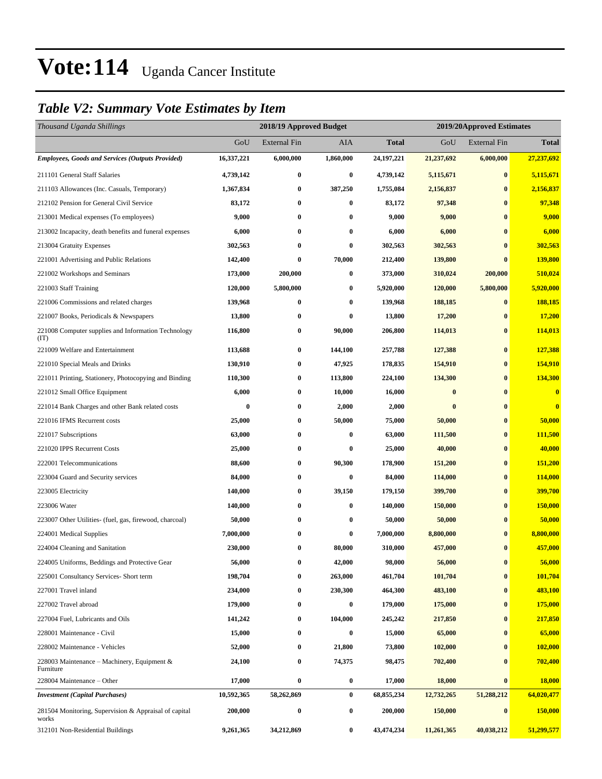### *Table V2: Summary Vote Estimates by Item*

| Thousand Uganda Shillings                                      |            | 2018/19 Approved Budget |           |              | 2019/20Approved Estimates |                     |                         |  |
|----------------------------------------------------------------|------------|-------------------------|-----------|--------------|---------------------------|---------------------|-------------------------|--|
|                                                                | GoU        | <b>External Fin</b>     | AIA       | <b>Total</b> | GoU                       | <b>External Fin</b> | <b>Total</b>            |  |
| <b>Employees, Goods and Services (Outputs Provided)</b>        | 16,337,221 | 6,000,000               | 1,860,000 | 24, 197, 221 | 21,237,692                | 6,000,000           | 27,237,692              |  |
| 211101 General Staff Salaries                                  | 4,739,142  | $\bf{0}$                | $\bf{0}$  | 4,739,142    | 5,115,671                 | $\bf{0}$            | 5,115,671               |  |
| 211103 Allowances (Inc. Casuals, Temporary)                    | 1,367,834  | $\boldsymbol{0}$        | 387,250   | 1,755,084    | 2,156,837                 | $\bf{0}$            | 2,156,837               |  |
| 212102 Pension for General Civil Service                       | 83,172     | $\bf{0}$                | $\bf{0}$  | 83,172       | 97,348                    | $\bf{0}$            | 97,348                  |  |
| 213001 Medical expenses (To employees)                         | 9,000      | $\bf{0}$                | $\bf{0}$  | 9,000        | 9,000                     | $\bf{0}$            | 9,000                   |  |
| 213002 Incapacity, death benefits and funeral expenses         | 6,000      | $\bf{0}$                | $\bf{0}$  | 6,000        | 6,000                     | $\bf{0}$            | 6,000                   |  |
| 213004 Gratuity Expenses                                       | 302,563    | $\bf{0}$                | $\bf{0}$  | 302,563      | 302,563                   | $\bf{0}$            | 302,563                 |  |
| 221001 Advertising and Public Relations                        | 142,400    | $\bf{0}$                | 70,000    | 212,400      | 139,800                   | $\bf{0}$            | 139,800                 |  |
| 221002 Workshops and Seminars                                  | 173,000    | 200,000                 | $\bf{0}$  | 373,000      | 310,024                   | 200,000             | 510,024                 |  |
| 221003 Staff Training                                          | 120,000    | 5,800,000               | $\bf{0}$  | 5,920,000    | 120,000                   | 5,800,000           | 5,920,000               |  |
| 221006 Commissions and related charges                         | 139,968    | $\bf{0}$                | $\bf{0}$  | 139,968      | 188,185                   | $\bf{0}$            | 188,185                 |  |
| 221007 Books, Periodicals & Newspapers                         | 13,800     | $\bf{0}$                | 0         | 13,800       | 17,200                    | $\bf{0}$            | 17,200                  |  |
| 221008 Computer supplies and Information Technology<br>(TT)    | 116,800    | $\bf{0}$                | 90,000    | 206,800      | 114,013                   | $\bf{0}$            | 114,013                 |  |
| 221009 Welfare and Entertainment                               | 113,688    | $\bf{0}$                | 144,100   | 257,788      | 127,388                   | $\bf{0}$            | 127,388                 |  |
| 221010 Special Meals and Drinks                                | 130,910    | $\bf{0}$                | 47,925    | 178,835      | 154,910                   | $\bf{0}$            | 154,910                 |  |
| 221011 Printing, Stationery, Photocopying and Binding          | 110,300    | $\boldsymbol{0}$        | 113,800   | 224,100      | 134,300                   | $\bf{0}$            | 134,300                 |  |
| 221012 Small Office Equipment                                  | 6,000      | $\bf{0}$                | 10,000    | 16,000       | $\bf{0}$                  | $\bf{0}$            | $\bf{0}$                |  |
| 221014 Bank Charges and other Bank related costs               | $\bf{0}$   | $\bf{0}$                | 2,000     | 2,000        | $\bf{0}$                  | $\bf{0}$            | $\overline{\mathbf{0}}$ |  |
| 221016 IFMS Recurrent costs                                    | 25,000     | $\bf{0}$                | 50,000    | 75,000       | 50,000                    | $\bf{0}$            | 50,000                  |  |
| 221017 Subscriptions                                           | 63,000     | $\bf{0}$                | $\bf{0}$  | 63,000       | 111,500                   | $\bf{0}$            | 111,500                 |  |
| 221020 IPPS Recurrent Costs                                    | 25,000     | $\bf{0}$                | $\bf{0}$  | 25,000       | 40,000                    | $\bf{0}$            | 40,000                  |  |
| 222001 Telecommunications                                      | 88,600     | $\boldsymbol{0}$        | 90,300    | 178,900      | 151,200                   | $\bf{0}$            | 151,200                 |  |
| 223004 Guard and Security services                             | 84,000     | $\bf{0}$                | $\bf{0}$  | 84,000       | 114,000                   | $\bf{0}$            | 114,000                 |  |
| 223005 Electricity                                             | 140,000    | $\bf{0}$                | 39,150    | 179,150      | 399,700                   | $\bf{0}$            | 399,700                 |  |
| 223006 Water                                                   | 140,000    | $\bf{0}$                | $\bf{0}$  | 140,000      | 150,000                   | $\bf{0}$            | 150,000                 |  |
| 223007 Other Utilities- (fuel, gas, firewood, charcoal)        | 50,000     | $\bf{0}$                | $\bf{0}$  | 50,000       | 50,000                    | $\bf{0}$            | 50,000                  |  |
| 224001 Medical Supplies                                        | 7,000,000  | $\bf{0}$                | $\bf{0}$  | 7,000,000    | 8,800,000                 | $\bf{0}$            | 8,800,000               |  |
| 224004 Cleaning and Sanitation                                 | 230,000    | $\bf{0}$                | 80,000    | 310,000      | 457,000                   | $\bf{0}$            | 457,000                 |  |
| 224005 Uniforms, Beddings and Protective Gear                  | 56,000     | 0                       | 42,000    | 98,000       | 56,000                    | $\bf{0}$            | 56,000                  |  |
| 225001 Consultancy Services- Short term                        | 198,704    | $\boldsymbol{0}$        | 263,000   | 461,704      | 101,704                   | $\bf{0}$            | 101,704                 |  |
| 227001 Travel inland                                           | 234,000    | $\boldsymbol{0}$        | 230,300   | 464,300      | 483,100                   | $\bf{0}$            | 483,100                 |  |
| 227002 Travel abroad                                           | 179,000    | $\boldsymbol{0}$        | $\bf{0}$  | 179,000      | 175,000                   | $\bf{0}$            | 175,000                 |  |
| 227004 Fuel, Lubricants and Oils                               | 141,242    | $\boldsymbol{0}$        | 104,000   | 245,242      | 217,850                   | $\bf{0}$            | 217,850                 |  |
| 228001 Maintenance - Civil                                     | 15,000     | $\boldsymbol{0}$        | $\bf{0}$  | 15,000       | 65,000                    | $\bf{0}$            | 65,000                  |  |
| 228002 Maintenance - Vehicles                                  | 52,000     | $\boldsymbol{0}$        | 21,800    | 73,800       | 102,000                   | $\bf{0}$            | 102,000                 |  |
| 228003 Maintenance – Machinery, Equipment $\&$<br>Furniture    | 24,100     | $\boldsymbol{0}$        | 74,375    | 98,475       | 702,400                   | $\bf{0}$            | 702,400                 |  |
| 228004 Maintenance - Other                                     | 17,000     | $\boldsymbol{0}$        | $\bf{0}$  | 17,000       | 18,000                    | $\bf{0}$            | 18,000                  |  |
| <b>Investment</b> (Capital Purchases)                          | 10,592,365 | 58,262,869              | $\bf{0}$  | 68,855,234   | 12,732,265                | 51,288,212          | 64,020,477              |  |
| 281504 Monitoring, Supervision & Appraisal of capital<br>works | 200,000    | $\boldsymbol{0}$        | $\bf{0}$  | 200,000      | 150,000                   | $\bf{0}$            | <b>150,000</b>          |  |
| 312101 Non-Residential Buildings                               | 9,261,365  | 34,212,869              | $\bf{0}$  | 43,474,234   | 11,261,365                | 40,038,212          | 51,299,577              |  |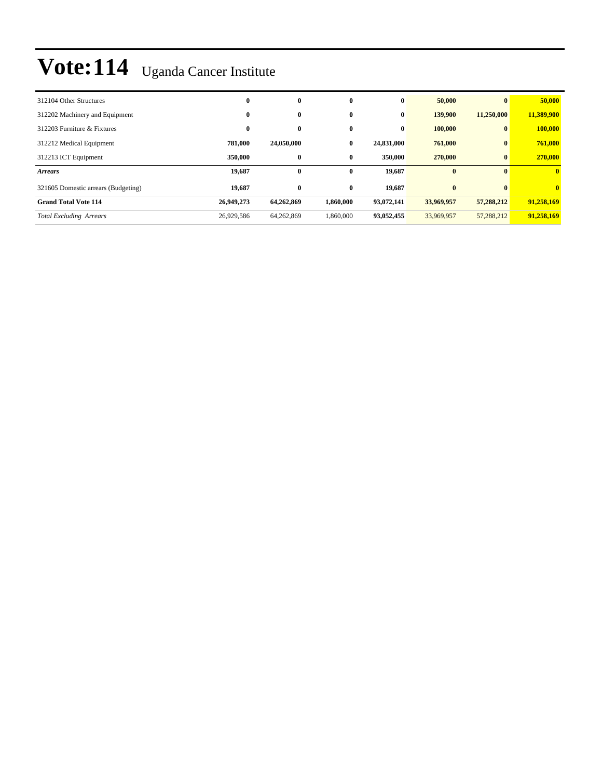| 312104 Other Structures             | $\bf{0}$   | $\bf{0}$   | $\bf{0}$  | $\bf{0}$   | 50,000     | $\mathbf{0}$ | 50,000       |
|-------------------------------------|------------|------------|-----------|------------|------------|--------------|--------------|
| 312202 Machinery and Equipment      | $\bf{0}$   | $\bf{0}$   | $\bf{0}$  | $\bf{0}$   | 139,900    | 11,250,000   | 11,389,900   |
| 312203 Furniture & Fixtures         | $\bf{0}$   | $\bf{0}$   | $\bf{0}$  | $\bf{0}$   | 100,000    | $\bf{0}$     | 100,000      |
| 312212 Medical Equipment            | 781.000    | 24,050,000 | $\bf{0}$  | 24,831,000 | 761,000    | $\bf{0}$     | 761,000      |
| 312213 ICT Equipment                | 350,000    | $\bf{0}$   | $\bf{0}$  | 350,000    | 270,000    | $\bf{0}$     | 270,000      |
| <b>Arrears</b>                      | 19,687     | $\bf{0}$   | $\bf{0}$  | 19,687     | $\bf{0}$   | $\mathbf{0}$ | $\mathbf{0}$ |
| 321605 Domestic arrears (Budgeting) | 19,687     | $\bf{0}$   | $\bf{0}$  | 19,687     | $\bf{0}$   | $\mathbf{0}$ | $\mathbf{0}$ |
| <b>Grand Total Vote 114</b>         | 26,949,273 | 64,262,869 | 1,860,000 | 93,072,141 | 33,969,957 | 57,288,212   | 91.258.169   |
| <b>Total Excluding Arrears</b>      | 26,929,586 | 64,262,869 | 1,860,000 | 93,052,455 | 33,969,957 | 57,288,212   | 91.258.169   |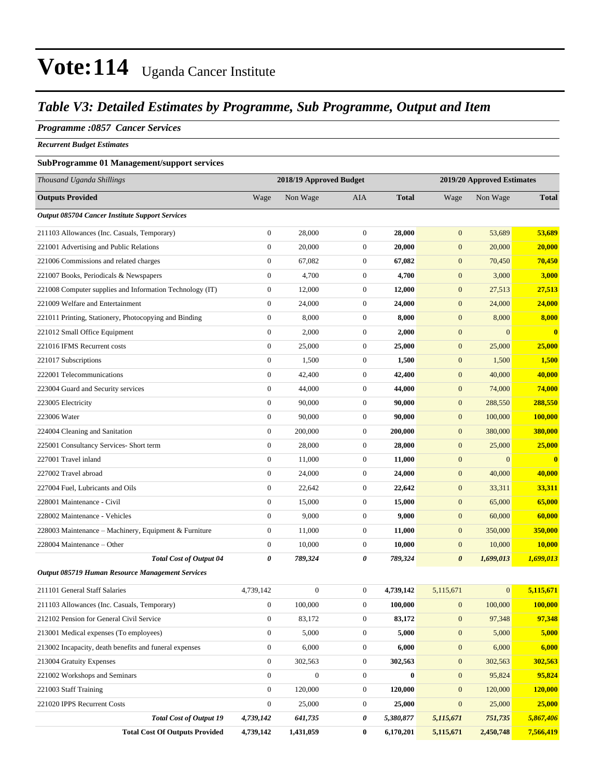### *Table V3: Detailed Estimates by Programme, Sub Programme, Output and Item*

### *Programme :0857 Cancer Services*

*Recurrent Budget Estimates*

### **SubProgramme 01 Management/support services**

| Thousand Uganda Shillings                                | 2018/19 Approved Budget |                  |                  | 2019/20 Approved Estimates |                       |                |              |
|----------------------------------------------------------|-------------------------|------------------|------------------|----------------------------|-----------------------|----------------|--------------|
| <b>Outputs Provided</b>                                  | Wage                    | Non Wage         | <b>AIA</b>       | <b>Total</b>               | Wage                  | Non Wage       | <b>Total</b> |
| Output 085704 Cancer Institute Support Services          |                         |                  |                  |                            |                       |                |              |
| 211103 Allowances (Inc. Casuals, Temporary)              | $\boldsymbol{0}$        | 28,000           | $\mathbf{0}$     | 28,000                     | $\mathbf{0}$          | 53,689         | 53,689       |
| 221001 Advertising and Public Relations                  | $\boldsymbol{0}$        | 20,000           | $\boldsymbol{0}$ | 20,000                     | $\mathbf{0}$          | 20,000         | 20,000       |
| 221006 Commissions and related charges                   | $\boldsymbol{0}$        | 67,082           | $\mathbf{0}$     | 67,082                     | $\mathbf{0}$          | 70,450         | 70,450       |
| 221007 Books, Periodicals & Newspapers                   | $\boldsymbol{0}$        | 4,700            | $\boldsymbol{0}$ | 4,700                      | $\mathbf{0}$          | 3,000          | 3,000        |
| 221008 Computer supplies and Information Technology (IT) | 0                       | 12,000           | $\mathbf{0}$     | 12,000                     | $\boldsymbol{0}$      | 27,513         | 27,513       |
| 221009 Welfare and Entertainment                         | $\boldsymbol{0}$        | 24,000           | $\boldsymbol{0}$ | 24,000                     | $\boldsymbol{0}$      | 24,000         | 24,000       |
| 221011 Printing, Stationery, Photocopying and Binding    | $\boldsymbol{0}$        | 8,000            | $\boldsymbol{0}$ | 8,000                      | $\boldsymbol{0}$      | 8,000          | 8,000        |
| 221012 Small Office Equipment                            | $\boldsymbol{0}$        | 2,000            | $\mathbf{0}$     | 2,000                      | $\mathbf{0}$          | $\overline{0}$ | $\mathbf{0}$ |
| 221016 IFMS Recurrent costs                              | $\boldsymbol{0}$        | 25,000           | $\boldsymbol{0}$ | 25,000                     | $\mathbf{0}$          | 25,000         | 25,000       |
| 221017 Subscriptions                                     | $\boldsymbol{0}$        | 1,500            | $\mathbf{0}$     | 1,500                      | $\boldsymbol{0}$      | 1,500          | 1,500        |
| 222001 Telecommunications                                | $\boldsymbol{0}$        | 42,400           | $\mathbf{0}$     | 42,400                     | $\boldsymbol{0}$      | 40,000         | 40,000       |
| 223004 Guard and Security services                       | $\boldsymbol{0}$        | 44,000           | $\boldsymbol{0}$ | 44,000                     | $\boldsymbol{0}$      | 74,000         | 74,000       |
| 223005 Electricity                                       | $\boldsymbol{0}$        | 90,000           | $\mathbf{0}$     | 90,000                     | $\boldsymbol{0}$      | 288,550        | 288,550      |
| 223006 Water                                             | $\boldsymbol{0}$        | 90,000           | $\mathbf{0}$     | 90,000                     | $\mathbf{0}$          | 100,000        | 100,000      |
| 224004 Cleaning and Sanitation                           | $\boldsymbol{0}$        | 200,000          | $\mathbf{0}$     | 200,000                    | $\boldsymbol{0}$      | 380,000        | 380,000      |
| 225001 Consultancy Services- Short term                  | $\boldsymbol{0}$        | 28,000           | $\boldsymbol{0}$ | 28.000                     | $\mathbf{0}$          | 25,000         | 25,000       |
| 227001 Travel inland                                     | $\boldsymbol{0}$        | 11,000           | $\mathbf{0}$     | 11,000                     | $\mathbf{0}$          | $\mathbf{0}$   | $\mathbf{0}$ |
| 227002 Travel abroad                                     | $\boldsymbol{0}$        | 24,000           | $\mathbf{0}$     | 24,000                     | $\mathbf{0}$          | 40,000         | 40,000       |
| 227004 Fuel, Lubricants and Oils                         | $\boldsymbol{0}$        | 22,642           | $\boldsymbol{0}$ | 22,642                     | $\mathbf{0}$          | 33,311         | 33,311       |
| 228001 Maintenance - Civil                               | $\boldsymbol{0}$        | 15,000           | $\mathbf{0}$     | 15,000                     | $\boldsymbol{0}$      | 65,000         | 65,000       |
| 228002 Maintenance - Vehicles                            | $\boldsymbol{0}$        | 9,000            | $\mathbf{0}$     | 9,000                      | $\boldsymbol{0}$      | 60,000         | 60,000       |
| 228003 Maintenance - Machinery, Equipment & Furniture    | $\boldsymbol{0}$        | 11,000           | $\mathbf{0}$     | 11,000                     | $\boldsymbol{0}$      | 350,000        | 350,000      |
| 228004 Maintenance - Other                               | $\boldsymbol{0}$        | 10,000           | $\mathbf{0}$     | 10,000                     | $\boldsymbol{0}$      | 10,000         | 10,000       |
| <b>Total Cost of Output 04</b>                           | 0                       | 789,324          | 0                | 789,324                    | $\boldsymbol{\theta}$ | 1,699,013      | 1,699,013    |
| <b>Output 085719 Human Resource Management Services</b>  |                         |                  |                  |                            |                       |                |              |
| 211101 General Staff Salaries                            | 4,739,142               | $\boldsymbol{0}$ | $\boldsymbol{0}$ | 4,739,142                  | 5,115,671             | $\overline{0}$ | 5,115,671    |
| 211103 Allowances (Inc. Casuals, Temporary)              | $\boldsymbol{0}$        | 100,000          | $\boldsymbol{0}$ | 100,000                    | $\boldsymbol{0}$      | 100,000        | 100,000      |
| 212102 Pension for General Civil Service                 | $\boldsymbol{0}$        | 83,172           | $\boldsymbol{0}$ | 83,172                     | $\boldsymbol{0}$      | 97,348         | 97,348       |
| 213001 Medical expenses (To employees)                   | $\boldsymbol{0}$        | 5,000            | $\boldsymbol{0}$ | 5,000                      | $\mathbf{0}$          | 5,000          | 5,000        |
| 213002 Incapacity, death benefits and funeral expenses   | $\boldsymbol{0}$        | 6,000            | $\boldsymbol{0}$ | 6,000                      | $\boldsymbol{0}$      | 6,000          | 6,000        |
| 213004 Gratuity Expenses                                 | $\overline{0}$          | 302,563          | $\boldsymbol{0}$ | 302,563                    | $\mathbf{0}$          | 302,563        | 302,563      |
| 221002 Workshops and Seminars                            | $\overline{0}$          | $\boldsymbol{0}$ | $\boldsymbol{0}$ | $\bf{0}$                   | $\mathbf{0}$          | 95,824         | 95,824       |
| 221003 Staff Training                                    | $\mathbf{0}$            | 120,000          | $\boldsymbol{0}$ | 120,000                    | $\boldsymbol{0}$      | 120,000        | 120,000      |
| 221020 IPPS Recurrent Costs                              | $\mathbf{0}$            | 25,000           | $\boldsymbol{0}$ | 25,000                     | $\mathbf{0}$          | 25,000         | 25,000       |
| <b>Total Cost of Output 19</b>                           | 4,739,142               | 641,735          | 0                | 5,380,877                  | 5,115,671             | 751,735        | 5,867,406    |
| <b>Total Cost Of Outputs Provided</b>                    | 4,739,142               | 1,431,059        | $\bf{0}$         | 6,170,201                  | 5,115,671             | 2,450,748      | 7,566,419    |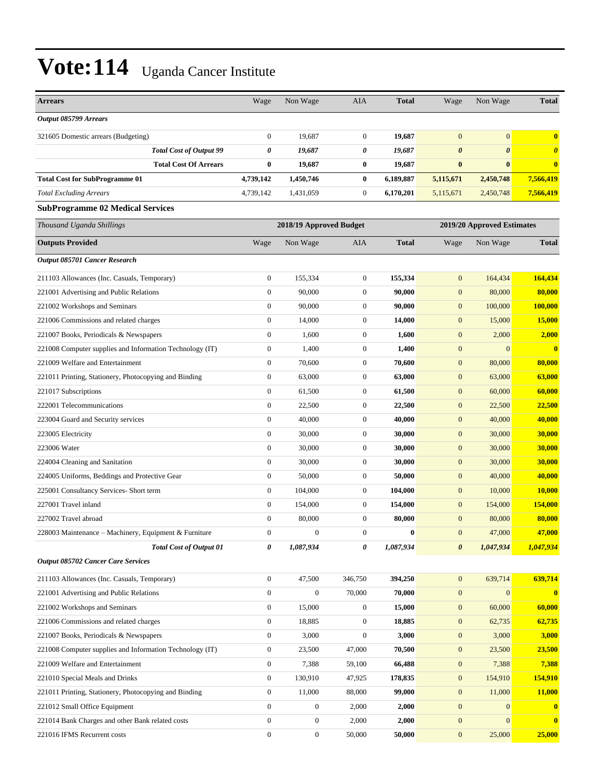| <b>Arrears</b>                                           | Wage             | Non Wage                | AIA                   | <b>Total</b> | Wage                       | Non Wage              | <b>Total</b>          |
|----------------------------------------------------------|------------------|-------------------------|-----------------------|--------------|----------------------------|-----------------------|-----------------------|
| Output 085799 Arrears                                    |                  |                         |                       |              |                            |                       |                       |
| 321605 Domestic arrears (Budgeting)                      | $\boldsymbol{0}$ | 19,687                  | $\mathbf{0}$          | 19,687       | $\mathbf{0}$               | $\boldsymbol{0}$      | $\bf{0}$              |
| <b>Total Cost of Output 99</b>                           | 0                | 19,687                  | 0                     | 19,687       | $\boldsymbol{\theta}$      | $\boldsymbol{\theta}$ | $\boldsymbol{\theta}$ |
| <b>Total Cost Of Arrears</b>                             | $\bf{0}$         | 19,687                  | $\bf{0}$              | 19,687       | $\bf{0}$                   | $\bf{0}$              | $\bf{0}$              |
| <b>Total Cost for SubProgramme 01</b>                    | 4,739,142        | 1,450,746               | $\bf{0}$              | 6,189,887    | 5,115,671                  | 2,450,748             | 7,566,419             |
| <b>Total Excluding Arrears</b>                           | 4,739,142        | 1,431,059               | $\boldsymbol{0}$      | 6,170,201    | 5,115,671                  | 2,450,748             | 7,566,419             |
| <b>SubProgramme 02 Medical Services</b>                  |                  |                         |                       |              |                            |                       |                       |
| Thousand Uganda Shillings                                |                  | 2018/19 Approved Budget |                       |              | 2019/20 Approved Estimates |                       |                       |
| <b>Outputs Provided</b>                                  | Wage             | Non Wage                | AIA                   | <b>Total</b> | Wage                       | Non Wage              | <b>Total</b>          |
| Output 085701 Cancer Research                            |                  |                         |                       |              |                            |                       |                       |
| 211103 Allowances (Inc. Casuals, Temporary)              | $\boldsymbol{0}$ | 155,334                 | $\boldsymbol{0}$      | 155,334      | $\mathbf{0}$               | 164,434               | 164,434               |
| 221001 Advertising and Public Relations                  | $\mathbf{0}$     | 90,000                  | $\mathbf{0}$          | 90,000       | $\mathbf{0}$               | 80,000                | 80,000                |
| 221002 Workshops and Seminars                            | $\boldsymbol{0}$ | 90,000                  | $\mathbf{0}$          | 90,000       | $\mathbf{0}$               | 100,000               | 100,000               |
| 221006 Commissions and related charges                   | $\boldsymbol{0}$ | 14,000                  | $\mathbf{0}$          | 14,000       | $\mathbf{0}$               | 15,000                | 15,000                |
| 221007 Books, Periodicals & Newspapers                   | $\boldsymbol{0}$ | 1,600                   | $\boldsymbol{0}$      | 1,600        | $\mathbf{0}$               | 2,000                 | 2,000                 |
| 221008 Computer supplies and Information Technology (IT) | $\boldsymbol{0}$ | 1,400                   | $\boldsymbol{0}$      | 1,400        | $\boldsymbol{0}$           | $\mathbf{0}$          | $\mathbf{0}$          |
| 221009 Welfare and Entertainment                         | $\boldsymbol{0}$ | 70,600                  | $\mathbf{0}$          | 70,600       | $\mathbf{0}$               | 80,000                | 80,000                |
| 221011 Printing, Stationery, Photocopying and Binding    | $\boldsymbol{0}$ | 63,000                  | $\mathbf{0}$          | 63,000       | $\mathbf{0}$               | 63,000                | 63,000                |
| 221017 Subscriptions                                     | $\boldsymbol{0}$ | 61,500                  | $\mathbf{0}$          | 61,500       | $\mathbf{0}$               | 60,000                | 60,000                |
| 222001 Telecommunications                                | $\boldsymbol{0}$ | 22,500                  | $\boldsymbol{0}$      | 22,500       | $\mathbf{0}$               | 22,500                | 22,500                |
| 223004 Guard and Security services                       | $\boldsymbol{0}$ | 40,000                  | $\mathbf{0}$          | 40,000       | $\boldsymbol{0}$           | 40,000                | 40,000                |
| 223005 Electricity                                       | $\boldsymbol{0}$ | 30,000                  | $\mathbf{0}$          | 30,000       | $\mathbf{0}$               | 30,000                | 30,000                |
| 223006 Water                                             | $\boldsymbol{0}$ | 30,000                  | $\mathbf{0}$          | 30,000       | $\mathbf{0}$               | 30,000                | 30,000                |
| 224004 Cleaning and Sanitation                           | $\boldsymbol{0}$ | 30,000                  | $\mathbf{0}$          | 30,000       | $\mathbf{0}$               | 30,000                | 30,000                |
| 224005 Uniforms, Beddings and Protective Gear            | $\boldsymbol{0}$ | 50,000                  | $\boldsymbol{0}$      | 50,000       | $\mathbf{0}$               | 40,000                | 40,000                |
| 225001 Consultancy Services- Short term                  | $\boldsymbol{0}$ | 104,000                 | $\boldsymbol{0}$      | 104,000      | $\boldsymbol{0}$           | 10,000                | 10,000                |
| 227001 Travel inland                                     | $\boldsymbol{0}$ | 154,000                 | $\mathbf{0}$          | 154,000      | $\mathbf{0}$               | 154,000               | 154,000               |
| 227002 Travel abroad                                     | $\boldsymbol{0}$ | 80,000                  | $\mathbf{0}$          | 80,000       | $\mathbf{0}$               | 80,000                | 80,000                |
| 228003 Maintenance – Machinery, Equipment & Furniture    | $\boldsymbol{0}$ | $\boldsymbol{0}$        | $\boldsymbol{0}$      | $\bf{0}$     | $\mathbf{0}$               | 47,000                | 47,000                |
| <b>Total Cost of Output 01</b>                           | 0                | 1,087,934               | $\boldsymbol{\theta}$ | 1,087,934    | $\boldsymbol{\theta}$      | 1,047,934             | 1,047,934             |
| Output 085702 Cancer Care Services                       |                  |                         |                       |              |                            |                       |                       |
| 211103 Allowances (Inc. Casuals, Temporary)              | $\boldsymbol{0}$ | 47,500                  | 346,750               | 394,250      | $\mathbf{0}$               | 639,714               | 639,714               |
| 221001 Advertising and Public Relations                  | $\boldsymbol{0}$ | $\boldsymbol{0}$        | 70,000                | 70,000       | $\boldsymbol{0}$           | $\mathbf{0}$          | $\bf{0}$              |
| 221002 Workshops and Seminars                            | $\boldsymbol{0}$ | 15,000                  | $\boldsymbol{0}$      | 15,000       | $\mathbf{0}$               | 60,000                | 60,000                |
| 221006 Commissions and related charges                   | $\boldsymbol{0}$ | 18,885                  | $\boldsymbol{0}$      | 18,885       | $\mathbf{0}$               | 62,735                | 62,735                |
| 221007 Books, Periodicals & Newspapers                   | $\boldsymbol{0}$ | 3,000                   | $\boldsymbol{0}$      | 3,000        | $\mathbf{0}$               | 3,000                 | 3,000                 |
| 221008 Computer supplies and Information Technology (IT) | $\boldsymbol{0}$ | 23,500                  | 47,000                | 70,500       | $\mathbf{0}$               | 23,500                | 23,500                |
| 221009 Welfare and Entertainment                         | $\boldsymbol{0}$ | 7,388                   | 59,100                | 66,488       | $\boldsymbol{0}$           | 7,388                 | 7,388                 |
| 221010 Special Meals and Drinks                          | $\boldsymbol{0}$ | 130,910                 | 47,925                | 178,835      | $\mathbf{0}$               | 154,910               | 154,910               |
| 221011 Printing, Stationery, Photocopying and Binding    | $\boldsymbol{0}$ | 11,000                  | 88,000                | 99,000       | $\mathbf{0}$               | 11,000                | 11,000                |
| 221012 Small Office Equipment                            | $\boldsymbol{0}$ | $\mathbf{0}$            | 2,000                 | 2,000        | $\mathbf{0}$               | $\mathbf{0}$          | $\bf{0}$              |
| 221014 Bank Charges and other Bank related costs         | $\boldsymbol{0}$ | $\boldsymbol{0}$        | 2,000                 | 2,000        | $\boldsymbol{0}$           | $\mathbf{0}$          | $\mathbf{0}$          |
| 221016 IFMS Recurrent costs                              | $\boldsymbol{0}$ | $\mathbf{0}$            | 50,000                | 50,000       | $\mathbf{0}$               | 25,000                | 25,000                |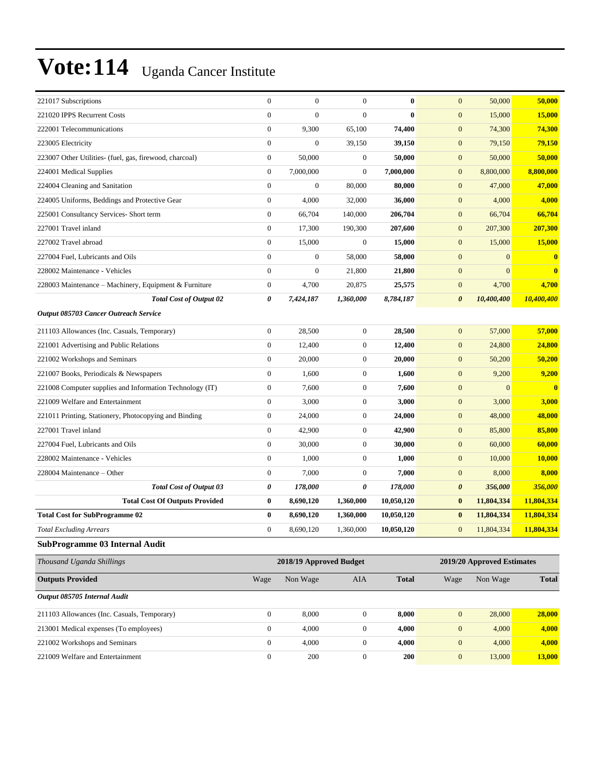| 221017 Subscriptions                                     | $\boldsymbol{0}$ | $\boldsymbol{0}$        | $\overline{0}$   | $\bf{0}$     | $\mathbf{0}$          | 50,000                     | 50,000        |
|----------------------------------------------------------|------------------|-------------------------|------------------|--------------|-----------------------|----------------------------|---------------|
| 221020 IPPS Recurrent Costs                              | $\mathbf{0}$     | $\boldsymbol{0}$        | $\overline{0}$   | $\bf{0}$     | $\mathbf{0}$          | 15,000                     | <b>15,000</b> |
| 222001 Telecommunications                                | $\boldsymbol{0}$ | 9,300                   | 65,100           | 74,400       | $\boldsymbol{0}$      | 74,300                     | 74,300        |
| 223005 Electricity                                       | $\mathbf{0}$     | $\boldsymbol{0}$        | 39,150           | 39,150       | $\boldsymbol{0}$      | 79,150                     | 79,150        |
| 223007 Other Utilities- (fuel, gas, firewood, charcoal)  | $\boldsymbol{0}$ | 50,000                  | $\boldsymbol{0}$ | 50,000       | $\mathbf{0}$          | 50,000                     | 50,000        |
| 224001 Medical Supplies                                  | $\boldsymbol{0}$ | 7,000,000               | $\overline{0}$   | 7,000,000    | $\mathbf{0}$          | 8,800,000                  | 8,800,000     |
| 224004 Cleaning and Sanitation                           | $\mathbf{0}$     | $\boldsymbol{0}$        | 80,000           | 80,000       | $\mathbf{0}$          | 47,000                     | 47,000        |
| 224005 Uniforms, Beddings and Protective Gear            | $\mathbf{0}$     | 4,000                   | 32,000           | 36,000       | $\mathbf{0}$          | 4,000                      | 4,000         |
| 225001 Consultancy Services- Short term                  | $\boldsymbol{0}$ | 66,704                  | 140,000          | 206,704      | $\mathbf{0}$          | 66,704                     | 66,704        |
| 227001 Travel inland                                     | $\boldsymbol{0}$ | 17,300                  | 190,300          | 207,600      | $\mathbf{0}$          | 207,300                    | 207,300       |
| 227002 Travel abroad                                     | $\boldsymbol{0}$ | 15,000                  | $\mathbf{0}$     | 15,000       | $\mathbf{0}$          | 15,000                     | 15,000        |
| 227004 Fuel, Lubricants and Oils                         | $\mathbf{0}$     | $\boldsymbol{0}$        | 58,000           | 58,000       | $\mathbf{0}$          | $\mathbf{0}$               | $\bf{0}$      |
| 228002 Maintenance - Vehicles                            | $\mathbf{0}$     | $\boldsymbol{0}$        | 21,800           | 21,800       | $\boldsymbol{0}$      | $\boldsymbol{0}$           | $\mathbf{0}$  |
| 228003 Maintenance – Machinery, Equipment & Furniture    | $\boldsymbol{0}$ | 4,700                   | 20,875           | 25,575       | $\mathbf{0}$          | 4,700                      | 4,700         |
| <b>Total Cost of Output 02</b>                           | 0                | 7,424,187               | 1,360,000        | 8,784,187    | $\boldsymbol{\theta}$ | 10,400,400                 | 10,400,400    |
| Output 085703 Cancer Outreach Service                    |                  |                         |                  |              |                       |                            |               |
| 211103 Allowances (Inc. Casuals, Temporary)              | $\mathbf{0}$     | 28,500                  | $\mathbf{0}$     | 28,500       | $\mathbf{0}$          | 57,000                     | 57,000        |
| 221001 Advertising and Public Relations                  | $\mathbf{0}$     | 12,400                  | $\boldsymbol{0}$ | 12,400       | $\mathbf{0}$          | 24,800                     | 24,800        |
| 221002 Workshops and Seminars                            | $\mathbf{0}$     | 20,000                  | $\boldsymbol{0}$ | 20,000       | $\boldsymbol{0}$      | 50,200                     | 50,200        |
| 221007 Books, Periodicals & Newspapers                   | $\mathbf{0}$     | 1,600                   | $\boldsymbol{0}$ | 1,600        | $\mathbf{0}$          | 9,200                      | 9,200         |
| 221008 Computer supplies and Information Technology (IT) | $\boldsymbol{0}$ | 7,600                   | $\mathbf{0}$     | 7,600        | $\mathbf{0}$          | $\mathbf{0}$               | $\mathbf{0}$  |
| 221009 Welfare and Entertainment                         | $\boldsymbol{0}$ | 3,000                   | $\boldsymbol{0}$ | 3,000        | $\mathbf{0}$          | 3,000                      | 3,000         |
| 221011 Printing, Stationery, Photocopying and Binding    | $\boldsymbol{0}$ | 24,000                  | $\boldsymbol{0}$ | 24,000       | $\mathbf{0}$          | 48,000                     | 48,000        |
| 227001 Travel inland                                     | $\mathbf{0}$     | 42,900                  | $\boldsymbol{0}$ | 42,900       | $\boldsymbol{0}$      | 85,800                     | 85,800        |
| 227004 Fuel, Lubricants and Oils                         | $\mathbf{0}$     | 30,000                  | $\boldsymbol{0}$ | 30,000       | $\boldsymbol{0}$      | 60,000                     | 60,000        |
| 228002 Maintenance - Vehicles                            | $\boldsymbol{0}$ | 1,000                   | $\mathbf{0}$     | 1,000        | $\mathbf{0}$          | 10,000                     | 10,000        |
| 228004 Maintenance - Other                               | $\boldsymbol{0}$ | 7,000                   | $\boldsymbol{0}$ | 7,000        | $\mathbf{0}$          | 8,000                      | 8,000         |
| <b>Total Cost of Output 03</b>                           | 0                | 178,000                 | 0                | 178,000      | $\boldsymbol{\theta}$ | 356,000                    | 356,000       |
| <b>Total Cost Of Outputs Provided</b>                    | $\bf{0}$         | 8,690,120               | 1,360,000        | 10,050,120   | $\bf{0}$              | 11,804,334                 | 11,804,334    |
| <b>Total Cost for SubProgramme 02</b>                    | $\bf{0}$         | 8,690,120               | 1,360,000        | 10,050,120   | $\bf{0}$              | 11,804,334                 | 11,804,334    |
| <b>Total Excluding Arrears</b>                           | $\mathbf{0}$     | 8,690,120               | 1,360,000        | 10,050,120   | $\mathbf{0}$          | 11,804,334                 | 11,804,334    |
| SubProgramme 03 Internal Audit                           |                  |                         |                  |              |                       |                            |               |
| Thousand Uganda Shillings                                |                  | 2018/19 Approved Budget |                  |              |                       | 2019/20 Approved Estimates |               |
| <b>Outputs Provided</b>                                  | Wage             | Non Wage                | AIA              | <b>Total</b> | Wage                  | Non Wage                   | <b>Total</b>  |
| Output 085705 Internal Audit                             |                  |                         |                  |              |                       |                            |               |
| 211103 Allowances (Inc. Casuals, Temporary)              | $\mathbf{0}$     | 8,000                   | $\boldsymbol{0}$ | 8,000        | $\mathbf{0}$          | 28,000                     | 28,000        |
| 213001 Medical expenses (To employees)                   | $\boldsymbol{0}$ | 4,000                   | $\boldsymbol{0}$ | 4,000        | $\boldsymbol{0}$      | 4,000                      | 4,000         |
| 221002 Workshops and Seminars                            | $\boldsymbol{0}$ | 4,000                   | $\overline{0}$   | 4,000        | $\boldsymbol{0}$      | 4,000                      | 4,000         |

221009 Welfare and Entertainment 0 200 0 **200** 0 13,000 **13,000**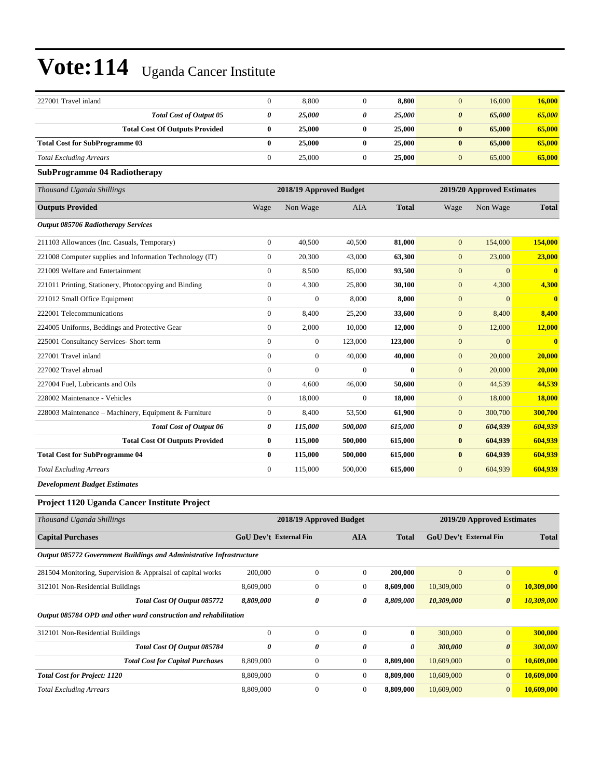| 227001 Travel inland                                                 | $\boldsymbol{0}$       | 8,800                   | $\mathbf{0}$     | 8,800        | $\mathbf{0}$           | 16,000                     | 16,000                  |
|----------------------------------------------------------------------|------------------------|-------------------------|------------------|--------------|------------------------|----------------------------|-------------------------|
| <b>Total Cost of Output 05</b>                                       | 0                      | 25,000                  | 0                | 25,000       | $\boldsymbol{\theta}$  | 65,000                     | 65,000                  |
| <b>Total Cost Of Outputs Provided</b>                                | $\bf{0}$               | 25,000                  | $\bf{0}$         | 25,000       | $\bf{0}$               | 65,000                     | 65,000                  |
| <b>Total Cost for SubProgramme 03</b>                                | $\bf{0}$               | 25,000                  | $\bf{0}$         | 25,000       | $\bf{0}$               | 65,000                     | 65,000                  |
| <b>Total Excluding Arrears</b>                                       | $\boldsymbol{0}$       | 25,000                  | $\boldsymbol{0}$ | 25,000       | $\boldsymbol{0}$       | 65,000                     | 65,000                  |
| <b>SubProgramme 04 Radiotherapy</b>                                  |                        |                         |                  |              |                        |                            |                         |
| Thousand Uganda Shillings                                            |                        | 2018/19 Approved Budget |                  |              |                        | 2019/20 Approved Estimates |                         |
| <b>Outputs Provided</b>                                              | Wage                   | Non Wage                | AIA              | <b>Total</b> | Wage                   | Non Wage                   | <b>Total</b>            |
| Output 085706 Radiotherapy Services                                  |                        |                         |                  |              |                        |                            |                         |
| 211103 Allowances (Inc. Casuals, Temporary)                          | $\boldsymbol{0}$       | 40,500                  | 40,500           | 81,000       | $\mathbf{0}$           | 154,000                    | 154,000                 |
| 221008 Computer supplies and Information Technology (IT)             | $\boldsymbol{0}$       | 20,300                  | 43,000           | 63,300       | $\mathbf{0}$           | 23,000                     | 23,000                  |
| 221009 Welfare and Entertainment                                     | $\boldsymbol{0}$       | 8,500                   | 85,000           | 93,500       | $\boldsymbol{0}$       | $\mathbf{0}$               | $\mathbf{0}$            |
| 221011 Printing, Stationery, Photocopying and Binding                | $\boldsymbol{0}$       | 4,300                   | 25,800           | 30,100       | $\mathbf{0}$           | 4,300                      | 4,300                   |
| 221012 Small Office Equipment                                        | $\boldsymbol{0}$       | $\mathbf{0}$            | 8,000            | 8,000        | $\mathbf{0}$           | $\mathbf{0}$               | $\overline{\mathbf{0}}$ |
| 222001 Telecommunications                                            | $\mathbf{0}$           | 8,400                   | 25,200           | 33,600       | $\mathbf{0}$           | 8,400                      | 8,400                   |
| 224005 Uniforms, Beddings and Protective Gear                        | $\boldsymbol{0}$       | 2,000                   | 10,000           | 12,000       | $\mathbf{0}$           | 12,000                     | 12,000                  |
| 225001 Consultancy Services- Short term                              | $\boldsymbol{0}$       | $\boldsymbol{0}$        | 123,000          | 123,000      | $\boldsymbol{0}$       | $\boldsymbol{0}$           | $\overline{\mathbf{0}}$ |
| 227001 Travel inland                                                 | $\boldsymbol{0}$       | $\boldsymbol{0}$        | 40,000           | 40,000       | $\mathbf{0}$           | 20,000                     | 20,000                  |
| 227002 Travel abroad                                                 | $\boldsymbol{0}$       | $\mathbf{0}$            | $\mathbf{0}$     | $\bf{0}$     | $\mathbf{0}$           | 20,000                     | 20,000                  |
| 227004 Fuel, Lubricants and Oils                                     | $\boldsymbol{0}$       | 4,600                   | 46,000           | 50,600       | $\mathbf{0}$           | 44,539                     | 44,539                  |
| 228002 Maintenance - Vehicles                                        | $\boldsymbol{0}$       | 18,000                  | $\mathbf{0}$     | 18,000       | $\mathbf{0}$           | 18,000                     | <b>18,000</b>           |
| 228003 Maintenance – Machinery, Equipment & Furniture                | $\boldsymbol{0}$       | 8,400                   | 53,500           | 61,900       | $\boldsymbol{0}$       | 300,700                    | 300,700                 |
| <b>Total Cost of Output 06</b>                                       | 0                      | 115,000                 | 500,000          | 615,000      | $\boldsymbol{\theta}$  | 604,939                    | 604,939                 |
| <b>Total Cost Of Outputs Provided</b>                                | $\bf{0}$               | 115,000                 | 500,000          | 615,000      | $\bf{0}$               | 604,939                    | 604,939                 |
| <b>Total Cost for SubProgramme 04</b>                                | $\bf{0}$               | 115,000                 | 500,000          | 615,000      | $\bf{0}$               | 604,939                    | 604,939                 |
| <b>Total Excluding Arrears</b>                                       | $\boldsymbol{0}$       | 115,000                 | 500,000          | 615,000      | $\mathbf{0}$           | 604,939                    | 604,939                 |
| <b>Development Budget Estimates</b>                                  |                        |                         |                  |              |                        |                            |                         |
| Project 1120 Uganda Cancer Institute Project                         |                        |                         |                  |              |                        |                            |                         |
| Thousand Uganda Shillings                                            |                        | 2018/19 Approved Budget |                  |              |                        | 2019/20 Approved Estimates |                         |
| <b>Capital Purchases</b>                                             | GoU Dev't External Fin |                         | <b>AIA</b>       | <b>Total</b> | GoU Dev't External Fin |                            | <b>Total</b>            |
| Output 085772 Government Buildings and Administrative Infrastructure |                        |                         |                  |              |                        |                            |                         |
| 281504 Monitoring, Supervision & Appraisal of capital works          | 200,000                | $\boldsymbol{0}$        | $\mathbf{0}$     | 200,000      | $\mathbf{0}$           | $\boldsymbol{0}$           | $\mathbf{0}$            |
| 312101 Non-Residential Buildings                                     | 8,609,000              | $\boldsymbol{0}$        | $\boldsymbol{0}$ | 8,609,000    | 10,309,000             | $\mathbf{0}$               | 10,309,000              |
| Total Cost Of Output 085772                                          | 8,809,000              | 0                       | 0                | 8,809,000    | 10,309,000             | $\boldsymbol{\theta}$      | 10,309,000              |
| Output 085784 OPD and other ward construction and rehabilitation     |                        |                         |                  |              |                        |                            |                         |
| 312101 Non-Residential Buildings                                     | $\boldsymbol{0}$       | $\boldsymbol{0}$        | $\boldsymbol{0}$ | $\bf{0}$     | 300,000                | $\mathbf{0}$               | 300,000                 |
| Total Cost Of Output 085784                                          | 0                      | 0                       | 0                | 0            | 300,000                | $\boldsymbol{\theta}$      | 300,000                 |
| <b>Total Cost for Capital Purchases</b>                              | 8,809,000              | $\boldsymbol{0}$        | 0                | 8,809,000    | 10,609,000             | $\mathbf{0}$               | 10,609,000              |
| <b>Total Cost for Project: 1120</b>                                  | 8,809,000              | $\boldsymbol{0}$        | $\boldsymbol{0}$ | 8,809,000    | 10,609,000             | $\mathbf{0}$               | 10,609,000              |
| <b>Total Excluding Arrears</b>                                       | 8,809,000              | $\boldsymbol{0}$        | $\boldsymbol{0}$ | 8,809,000    | 10,609,000             | $\mathbf{0}$               | 10,609,000              |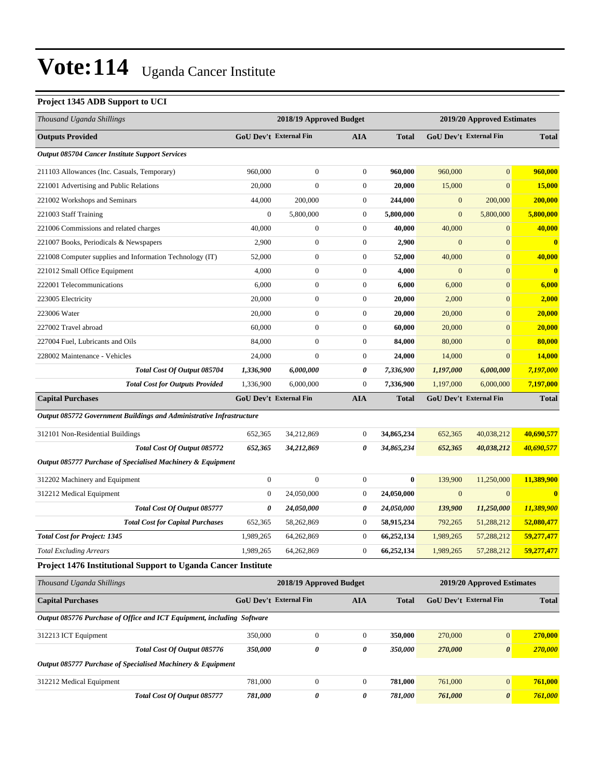### **Project 1345 ADB Support to UCI**

| Thousand Uganda Shillings                                              | 2018/19 Approved Budget |                               |                  | 2019/20 Approved Estimates |                  |                            |              |
|------------------------------------------------------------------------|-------------------------|-------------------------------|------------------|----------------------------|------------------|----------------------------|--------------|
| <b>Outputs Provided</b>                                                |                         | GoU Dev't External Fin        | <b>AIA</b>       | <b>Total</b>               |                  | GoU Dev't External Fin     | <b>Total</b> |
| <b>Output 085704 Cancer Institute Support Services</b>                 |                         |                               |                  |                            |                  |                            |              |
| 211103 Allowances (Inc. Casuals, Temporary)                            | 960,000                 | $\boldsymbol{0}$              | $\boldsymbol{0}$ | 960,000                    | 960,000          | $\overline{0}$             | 960,000      |
| 221001 Advertising and Public Relations                                | 20,000                  | $\boldsymbol{0}$              | $\mathbf{0}$     | 20,000                     | 15,000           | $\overline{0}$             | 15,000       |
| 221002 Workshops and Seminars                                          | 44,000                  | 200,000                       | $\mathbf{0}$     | 244,000                    | $\boldsymbol{0}$ | 200,000                    | 200,000      |
| 221003 Staff Training                                                  | $\mathbf{0}$            | 5,800,000                     | $\mathbf{0}$     | 5,800,000                  | $\boldsymbol{0}$ | 5,800,000                  | 5,800,000    |
| 221006 Commissions and related charges                                 | 40,000                  | $\boldsymbol{0}$              | $\mathbf{0}$     | 40,000                     | 40,000           | $\boldsymbol{0}$           | 40,000       |
| 221007 Books, Periodicals & Newspapers                                 | 2,900                   | $\boldsymbol{0}$              | $\boldsymbol{0}$ | 2,900                      | $\boldsymbol{0}$ | $\mathbf{0}$               | $\bf{0}$     |
| 221008 Computer supplies and Information Technology (IT)               | 52,000                  | $\boldsymbol{0}$              | $\mathbf{0}$     | 52,000                     | 40,000           | $\overline{0}$             | 40,000       |
| 221012 Small Office Equipment                                          | 4,000                   | $\boldsymbol{0}$              | $\mathbf{0}$     | 4,000                      | $\boldsymbol{0}$ | $\overline{0}$             | $\bf{0}$     |
| 222001 Telecommunications                                              | 6,000                   | $\boldsymbol{0}$              | $\mathbf{0}$     | 6,000                      | 6,000            | $\overline{0}$             | 6,000        |
| 223005 Electricity                                                     | 20,000                  | $\boldsymbol{0}$              | $\mathbf{0}$     | 20,000                     | 2,000            | $\overline{0}$             | 2,000        |
| 223006 Water                                                           | 20,000                  | $\boldsymbol{0}$              | $\boldsymbol{0}$ | 20,000                     | 20,000           | $\overline{0}$             | 20,000       |
| 227002 Travel abroad                                                   | 60,000                  | $\boldsymbol{0}$              | $\mathbf{0}$     | 60,000                     | 20,000           | $\overline{0}$             | 20,000       |
| 227004 Fuel, Lubricants and Oils                                       | 84,000                  | $\boldsymbol{0}$              | $\mathbf{0}$     | 84,000                     | 80,000           | $\overline{0}$             | 80,000       |
| 228002 Maintenance - Vehicles                                          | 24,000                  | $\mathbf{0}$                  | $\mathbf{0}$     | 24,000                     | 14,000           | $\overline{0}$             | 14,000       |
| Total Cost Of Output 085704                                            | 1,336,900               | 6,000,000                     | 0                | 7,336,900                  | 1,197,000        | 6,000,000                  | 7,197,000    |
| <b>Total Cost for Outputs Provided</b>                                 | 1,336,900               | 6,000,000                     | $\boldsymbol{0}$ | 7,336,900                  | 1,197,000        | 6,000,000                  | 7,197,000    |
| <b>Capital Purchases</b>                                               |                         | <b>GoU Dev't External Fin</b> | <b>AIA</b>       | <b>Total</b>               |                  | GoU Dev't External Fin     | <b>Total</b> |
| Output 085772 Government Buildings and Administrative Infrastructure   |                         |                               |                  |                            |                  |                            |              |
| 312101 Non-Residential Buildings                                       | 652,365                 | 34,212,869                    | $\boldsymbol{0}$ | 34,865,234                 | 652,365          | 40,038,212                 | 40,690,577   |
| Total Cost Of Output 085772                                            | 652,365                 | 34,212,869                    | 0                | 34,865,234                 | 652,365          | 40,038,212                 | 40,690,577   |
| Output 085777 Purchase of Specialised Machinery & Equipment            |                         |                               |                  |                            |                  |                            |              |
| 312202 Machinery and Equipment                                         | $\boldsymbol{0}$        | $\boldsymbol{0}$              | $\boldsymbol{0}$ | $\bf{0}$                   | 139,900          | 11,250,000                 | 11,389,900   |
| 312212 Medical Equipment                                               | $\boldsymbol{0}$        | 24,050,000                    | $\boldsymbol{0}$ | 24,050,000                 | $\mathbf{0}$     | $\mathbf{0}$               | $\bf{0}$     |
| Total Cost Of Output 085777                                            | 0                       | 24,050,000                    | 0                | 24,050,000                 | 139,900          | 11,250,000                 | 11,389,900   |
| <b>Total Cost for Capital Purchases</b>                                | 652,365                 | 58,262,869                    | $\boldsymbol{0}$ | 58,915,234                 | 792,265          | 51,288,212                 | 52,080,477   |
| <b>Total Cost for Project: 1345</b>                                    | 1,989,265               | 64,262,869                    | $\boldsymbol{0}$ | 66,252,134                 | 1,989,265        | 57,288,212                 | 59,277,477   |
| Total Excluding Arrears                                                | 1,989,265               | 64,262,869                    | $\overline{0}$   | 66,252,134                 | 1,989,265        | 57,288,212                 | 59,277,477   |
| Project 1476 Institutional Support to Uganda Cancer Institute          |                         |                               |                  |                            |                  |                            |              |
| Thousand Uganda Shillings                                              |                         | 2018/19 Approved Budget       |                  |                            |                  | 2019/20 Approved Estimates |              |
| <b>Capital Purchases</b>                                               |                         | GoU Dev't External Fin        | <b>AIA</b>       | <b>Total</b>               |                  | GoU Dev't External Fin     | <b>Total</b> |
| Output 085776 Purchase of Office and ICT Equipment, including Software |                         |                               |                  |                            |                  |                            |              |
| 312213 ICT Equipment                                                   | 350,000                 | $\boldsymbol{0}$              | $\mathbf{0}$     | 350,000                    | 270,000          | $\boldsymbol{0}$           | 270,000      |
| Total Cost Of Output 085776                                            | 350,000                 | 0                             | 0                | 350,000                    | 270,000          | $\boldsymbol{\theta}$      | 270,000      |
| Output 085777 Purchase of Specialised Machinery & Equipment            |                         |                               |                  |                            |                  |                            |              |
| 312212 Medical Equipment                                               | 781,000                 | $\boldsymbol{0}$              | $\boldsymbol{0}$ | 781,000                    | 761,000          | $\boldsymbol{0}$           | 761,000      |
| Total Cost Of Output 085777                                            | 781,000                 | 0                             | 0                | 781,000                    | 761,000          | $\boldsymbol{\theta}$      | 761,000      |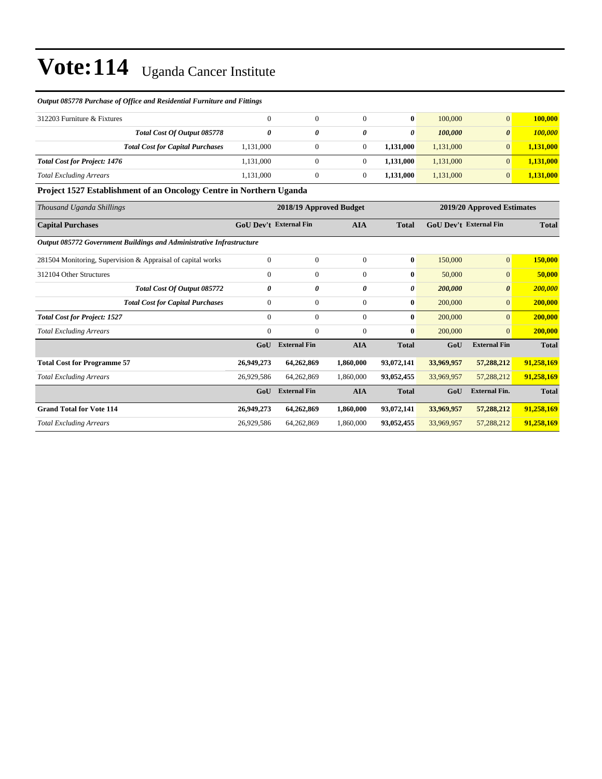#### *Output 085778 Purchase of Office and Residential Furniture and Fittings*

| 312203 Furniture & Fixtures         |                                         | $^{(1)}$  |   | 0         | 100,000   |                       | 100.000   |
|-------------------------------------|-----------------------------------------|-----------|---|-----------|-----------|-----------------------|-----------|
|                                     | Total Cost Of Output 085778             |           | 0 | 0         | 100,000   | $\boldsymbol{\theta}$ | 100,000   |
|                                     | <b>Total Cost for Capital Purchases</b> | 1,131,000 |   | 1.131.000 | 1.131.000 |                       | 1,131,000 |
| <b>Total Cost for Project: 1476</b> |                                         | 1,131,000 |   | 1.131.000 | 1,131,000 |                       | 1,131,000 |
| <b>Total Excluding Arrears</b>      |                                         | 1,131,000 |   | 1.131.000 | 1,131,000 |                       | 1,131,000 |

### **Project 1527 Establishment of an Oncology Centre in Northern Uganda**

| Thousand Uganda Shillings                                            |              | 2018/19 Approved Budget       |                | 2019/20 Approved Estimates |                               |                       |              |
|----------------------------------------------------------------------|--------------|-------------------------------|----------------|----------------------------|-------------------------------|-----------------------|--------------|
| <b>Capital Purchases</b>                                             |              | <b>GoU Dev't External Fin</b> | <b>AIA</b>     | <b>Total</b>               | <b>GoU Dev't External Fin</b> |                       | <b>Total</b> |
| Output 085772 Government Buildings and Administrative Infrastructure |              |                               |                |                            |                               |                       |              |
| 281504 Monitoring, Supervision & Appraisal of capital works          | $\mathbf{0}$ | $\mathbf{0}$                  | $\overline{0}$ | $\bf{0}$                   | 150,000                       | $\mathbf{0}$          | 150,000      |
| 312104 Other Structures                                              | $\mathbf{0}$ | $\boldsymbol{0}$              | $\overline{0}$ | $\bf{0}$                   | 50,000                        | $\mathbf{0}$          | 50,000       |
| Total Cost Of Output 085772                                          | 0            | 0                             | 0              | 0                          | 200,000                       | $\boldsymbol{\theta}$ | 200,000      |
| <b>Total Cost for Capital Purchases</b>                              | $\mathbf{0}$ | $\boldsymbol{0}$              | $\overline{0}$ | $\bf{0}$                   | 200,000                       | $\overline{0}$        | 200,000      |
| <b>Total Cost for Project: 1527</b>                                  | $\mathbf{0}$ | $\overline{0}$                | $\Omega$       | $\mathbf{0}$               | 200,000                       | $\overline{0}$        | 200,000      |
| <b>Total Excluding Arrears</b>                                       | $\mathbf{0}$ | $\overline{0}$                | $\overline{0}$ | $\bf{0}$                   | 200,000                       | $\mathbf{0}$          | 200,000      |
|                                                                      | GoU          | <b>External Fin</b>           | <b>AIA</b>     | <b>Total</b>               | GoU                           | <b>External Fin</b>   | <b>Total</b> |
| <b>Total Cost for Programme 57</b>                                   | 26,949,273   | 64,262,869                    | 1,860,000      | 93,072,141                 | 33,969,957                    | 57,288,212            | 91,258,169   |
| <b>Total Excluding Arrears</b>                                       | 26,929,586   | 64,262,869                    | 1,860,000      | 93,052,455                 | 33,969,957                    | 57,288,212            | 91,258,169   |
|                                                                      | GoU          | <b>External Fin</b>           | <b>AIA</b>     | <b>Total</b>               | GoU                           | <b>External Fin.</b>  | <b>Total</b> |
| <b>Grand Total for Vote 114</b>                                      | 26,949,273   | 64,262,869                    | 1,860,000      | 93,072,141                 | 33,969,957                    | 57,288,212            | 91,258,169   |
| <b>Total Excluding Arrears</b>                                       | 26,929,586   | 64,262,869                    | 1,860,000      | 93,052,455                 | 33,969,957                    | 57,288,212            | 91,258,169   |